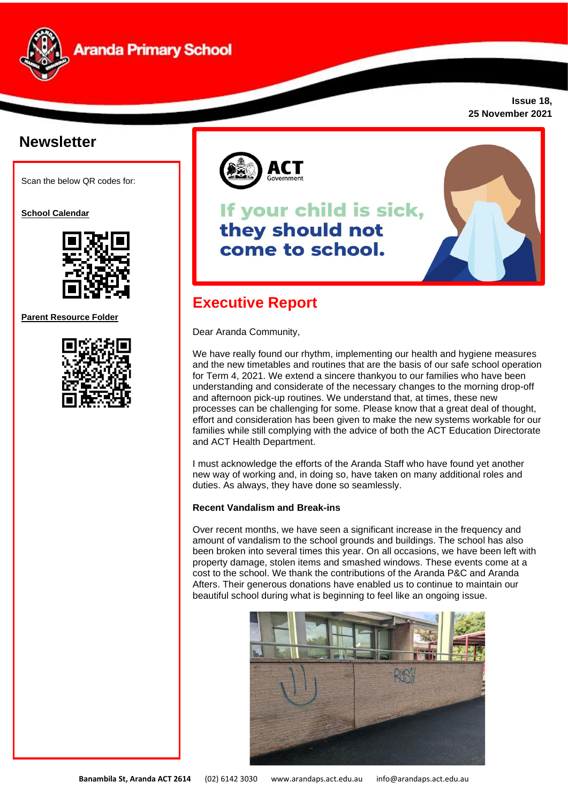

**Issue 18, 25 November 2021**

# **Newsletter**

Scan the below QR codes for:

**School Calendar** 



**Parent Resource Folder**





# If your child is sick, they should not come to school.



## **Executive Report**

Dear Aranda Community,

We have really found our rhythm, implementing our health and hygiene measures and the new timetables and routines that are the basis of our safe school operation for Term 4, 2021. We extend a sincere thankyou to our families who have been understanding and considerate of the necessary changes to the morning drop-off and afternoon pick-up routines. We understand that, at times, these new processes can be challenging for some. Please know that a great deal of thought, effort and consideration has been given to make the new systems workable for our families while still complying with the advice of both the ACT Education Directorate and ACT Health Department.

I must acknowledge the efforts of the Aranda Staff who have found yet another new way of working and, in doing so, have taken on many additional roles and duties. As always, they have done so seamlessly.

## **Recent Vandalism and Break-ins**

Over recent months, we have seen a significant increase in the frequency and amount of vandalism to the school grounds and buildings. The school has also been broken into several times this year. On all occasions, we have been left with property damage, stolen items and smashed windows. These events come at a cost to the school. We thank the contributions of the Aranda P&C and Aranda Afters. Their generous donations have enabled us to continue to maintain our beautiful school during what is beginning to feel like an ongoing issue.

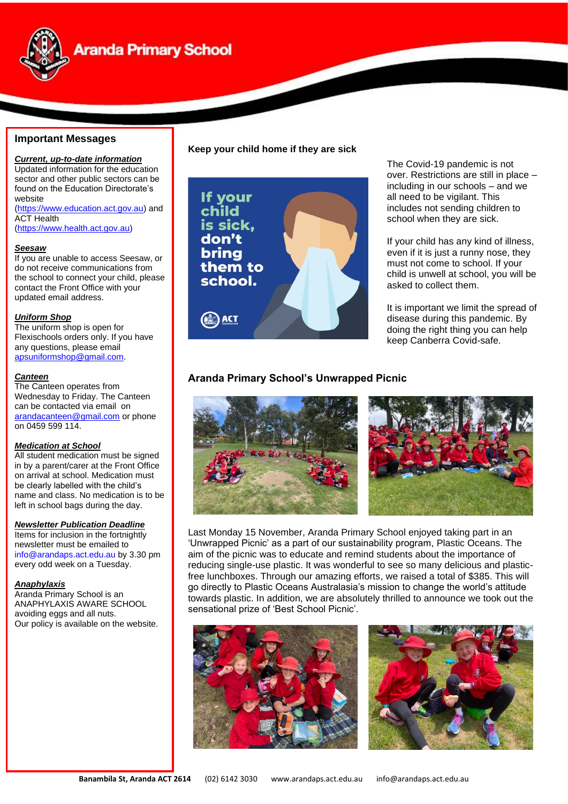

# **Aranda Primary School**

## **Important Messages**

*Current, up-to-date information* Updated information for the education sector and other public sectors can be found on the Education Directorate's website [\(https://www.education.act.gov.au\)](https://www.education.act.gov.au/) and **ACT Health** 

[\(https://www.health.act.gov.au\)](https://www.health.act.gov.au/)

#### *Seesaw*

If you are unable to access Seesaw, or do not receive communications from the school to connect your child, please contact the Front Office with your updated email address.

### *Uniform Shop*

The uniform shop is open for Flexischools orders only. If you have any questions, please email [apsuniformshop@gmail.com.](mailto:apsuniformshop@gmail.com)

### *Canteen*

The Canteen operates from Wednesday to Friday. The Canteen can be contacted via email on [arandacanteen@gmail.com](mailto:arandacanteen@gmail.com) or phone on 0459 599 114.

#### *Medication at School*

**sn** left in school bags during the day. All student medication must be signed in by a parent/carer at the Front Office on arrival at school. Medication must be clearly labelled with the child's name and class. No medication is to be

#### *Newsletter Publication Deadline*

Items for inclusion in the fortnightly newsletter must be emailed to [info@arandaps.act.edu.au](mailto:info@arandaps.act.edu.au) by 3.30 pm every odd week on a Tuesday.

#### *Anaphylaxis*

Aranda Primary School is an ANAPHYLAXIS AWARE SCHOOL avoiding eggs and all nuts. Our policy is available on the website.

### **Keep your child home if they are sick**



The Covid-19 pandemic is not over. Restrictions are still in place – including in our schools – and we all need to be vigilant. This includes not sending children to school when they are sick.

If your child has any kind of illness, even if it is just a runny nose, they must not come to school. If your child is unwell at school, you will be asked to collect them.

It is important we limit the spread of disease during this pandemic. By doing the right thing you can help keep Canberra Covid-safe.

## **Aranda Primary School's Unwrapped Picnic**





Last Monday 15 November, Aranda Primary School enjoyed taking part in an 'Unwrapped Picnic' as a part of our sustainability program, Plastic Oceans. The aim of the picnic was to educate and remind students about the importance of reducing single-use plastic. It was wonderful to see so many delicious and plasticfree lunchboxes. Through our amazing efforts, we raised a total of \$385. This will go directly to Plastic Oceans Australasia's mission to change the world's attitude towards plastic. In addition, we are absolutely thrilled to announce we took out the sensational prize of 'Best School Picnic'.